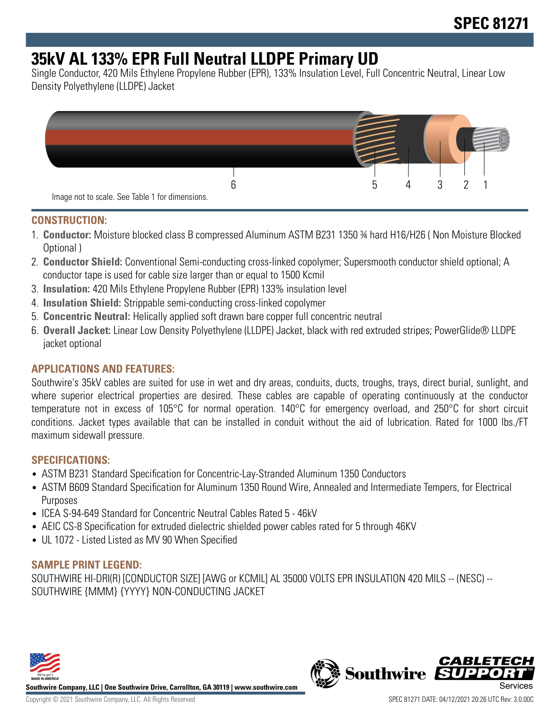# **35kV AL 133% EPR Full Neutral LLDPE Primary UD**

Single Conductor, 420 Mils Ethylene Propylene Rubber (EPR), 133% Insulation Level, Full Concentric Neutral, Linear Low Density Polyethylene (LLDPE) Jacket



## **CONSTRUCTION:**

- 1. **Conductor:** Moisture blocked class B compressed Aluminum ASTM B231 1350 ¾ hard H16/H26 ( Non Moisture Blocked Optional )
- 2. **Conductor Shield:** Conventional Semi-conducting cross-linked copolymer; Supersmooth conductor shield optional; A conductor tape is used for cable size larger than or equal to 1500 Kcmil
- 3. **Insulation:** 420 Mils Ethylene Propylene Rubber (EPR) 133% insulation level
- 4. **Insulation Shield:** Strippable semi-conducting cross-linked copolymer
- 5. **Concentric Neutral:** Helically applied soft drawn bare copper full concentric neutral
- 6. **Overall Jacket:** Linear Low Density Polyethylene (LLDPE) Jacket, black with red extruded stripes; PowerGlide® LLDPE jacket optional

## **APPLICATIONS AND FEATURES:**

Southwire's 35kV cables are suited for use in wet and dry areas, conduits, ducts, troughs, trays, direct burial, sunlight, and where superior electrical properties are desired. These cables are capable of operating continuously at the conductor temperature not in excess of 105°C for normal operation. 140°C for emergency overload, and 250°C for short circuit conditions. Jacket types available that can be installed in conduit without the aid of lubrication. Rated for 1000 lbs./FT maximum sidewall pressure.

#### **SPECIFICATIONS:**

- ASTM B231 Standard Specification for Concentric-Lay-Stranded Aluminum 1350 Conductors
- ASTM B609 Standard Specification for Aluminum 1350 Round Wire, Annealed and Intermediate Tempers, for Electrical Purposes
- ICEA S-94-649 Standard for Concentric Neutral Cables Rated 5 46kV
- AEIC CS-8 Specification for extruded dielectric shielded power cables rated for 5 through 46KV
- UL 1072 Listed Listed as MV 90 When Specified

## **SAMPLE PRINT LEGEND:**

SOUTHWIRE HI-DRI(R) [CONDUCTOR SIZE] [AWG or KCMIL] AL 35000 VOLTS EPR INSULATION 420 MILS -- (NESC) -- SOUTHWIRE {MMM} {YYYY} NON-CONDUCTING JACKET



**Southwire Company, LLC | One Southwire Drive, Carrollton, GA 30119 | www.southwire.com**

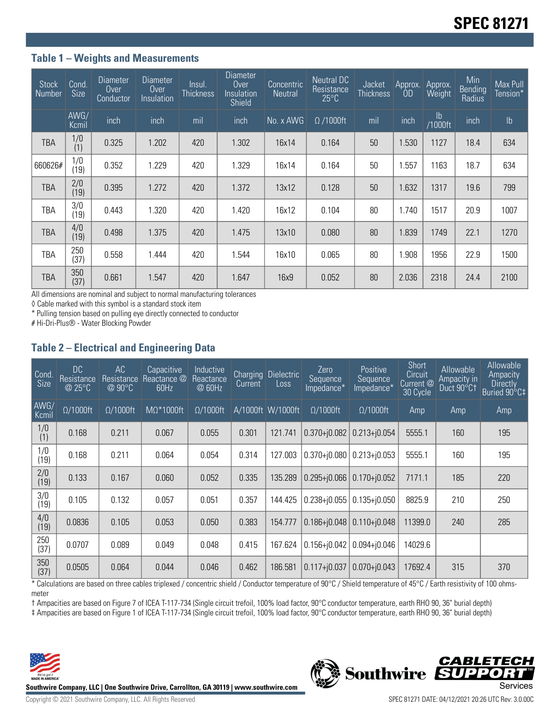## **Table 1 – Weights and Measurements**

| <b>Stock</b><br><b>Number</b> | Cond.<br><b>Size</b> | 'Diameter<br>Over<br>Conductor | Diameter<br><b>Over</b><br>Insulation | Insul.<br>Thickness | Diameter<br>Over<br>Insulation<br>Shield | Concentric<br><b>Neutral</b> | Neutral DC<br>Resistance<br>$25^{\circ}$ C | <b>Jacket</b><br><b>Thickness</b> | Approx.<br><b>OD</b> | Approx.<br><b>Weight</b> | Min<br>Bending<br>Radius | Max Pull<br>Tension* |
|-------------------------------|----------------------|--------------------------------|---------------------------------------|---------------------|------------------------------------------|------------------------------|--------------------------------------------|-----------------------------------|----------------------|--------------------------|--------------------------|----------------------|
|                               | AWG/<br>Kcmil        | inch                           | inch                                  | mil                 | inch                                     | No. x AWG                    | $\Omega$ /1000ft                           | mil                               | inch                 | lb<br>/1000ft            | inch                     | Ib                   |
| <b>TBA</b>                    | 1/0<br>(1)           | 0.325                          | 1.202                                 | 420                 | 1.302                                    | 16x14                        | 0.164                                      | 50                                | 1.530                | 1127                     | 18.4                     | 634                  |
| 660626#                       | 1/0<br>(19)          | 0.352                          | 1.229                                 | 420                 | 1.329                                    | 16x14                        | 0.164                                      | 50                                | 1.557                | 1163                     | 18.7                     | 634                  |
| <b>TBA</b>                    | 2/0<br>(19)          | 0.395                          | 1.272                                 | 420                 | 1.372                                    | 13x12                        | 0.128                                      | 50                                | 1.632                | 1317                     | 19.6                     | 799                  |
| TBA                           | 3/0<br>(19)          | 0.443                          | 1.320                                 | 420                 | 1.420                                    | 16x12                        | 0.104                                      | 80                                | 1.740                | 1517                     | 20.9                     | 1007                 |
| <b>TBA</b>                    | 4/0<br>(19)          | 0.498                          | 1.375                                 | 420                 | 1.475                                    | 13x10                        | 0.080                                      | 80                                | 1.839                | 1749                     | 22.1                     | 1270                 |
| TBA                           | 250<br>(37)          | 0.558                          | 1.444                                 | 420                 | 1.544                                    | 16x10                        | 0.065                                      | 80                                | 1.908                | 1956                     | 22.9                     | 1500                 |
| <b>TBA</b>                    | 350<br>(37)          | 0.661                          | 1.547                                 | 420                 | 1.647                                    | 16x9                         | 0.052                                      | 80                                | 2.036                | 2318                     | 24.4                     | 2100                 |

All dimensions are nominal and subject to normal manufacturing tolerances

◊ Cable marked with this symbol is a standard stock item

\* Pulling tension based on pulling eye directly connected to conductor

# Hi-Dri-Plus® - Water Blocking Powder

## **Table 2 – Electrical and Engineering Data**

| Cond.<br>Size | DC<br>Resistance,<br>@ 25°C | AC<br>Resistance<br>$@90^{\circ}C$ | Capacitive<br>Reactance @<br>60Hz | Inductive<br>Reactance<br>@ 60Hz | Current | Charging Dielectric<br>Loss | Zero<br>Sequence<br>Impedance* | <b>Positive</b><br>Sequence<br>Impedance* | <b>Short</b><br>Circuit<br>Current @<br>30 Cycle | Allowable<br>Ampacity in<br>Duct 90°C1 | Allowable<br>Ampacity<br><b>Directly</b><br>Buried 90°C‡ |
|---------------|-----------------------------|------------------------------------|-----------------------------------|----------------------------------|---------|-----------------------------|--------------------------------|-------------------------------------------|--------------------------------------------------|----------------------------------------|----------------------------------------------------------|
| AWG/<br>Kcmil | $\Omega/1000$ ft            | $\Omega/1000$ ft                   | $M\Omega^*1000$ ft                | $\Omega/1000$ ft                 |         | A/1000ft W/1000ft           | $\Omega/1000$ ft               | $\Omega/1000$ ft                          | Amp                                              | Amp                                    | Amp                                                      |
| 1/0<br>(1)    | 0.168                       | 0.211                              | 0.067                             | 0.055                            | 0.301   | 121.741                     | $0.370 + j0.082$               | $0.213 + j0.054$                          | 5555.1                                           | 160                                    | 195                                                      |
| 1/0<br>(19)   | 0.168                       | 0.211                              | 0.064                             | 0.054                            | 0.314   | 127.003                     | $0.370 + j0.080$               | $0.213 + 0.053$                           | 5555.1                                           | 160                                    | 195                                                      |
| 2/0<br>(19)   | 0.133                       | 0.167                              | 0.060                             | 0.052                            | 0.335   | 135.289                     | $0.295 + 0.066$                | $0.170 + j0.052$                          | 7171.1                                           | 185                                    | 220                                                      |
| 3/0<br>(19)   | 0.105                       | 0.132                              | 0.057                             | 0.051                            | 0.357   | 144.425                     | $0.238 + i0.055$               | $0.135 + i0.050$                          | 8825.9                                           | 210                                    | 250                                                      |
| 4/0<br>(19)   | 0.0836                      | 0.105                              | 0.053                             | 0.050                            | 0.383   | 154.777                     | $0.186 + 0.048$                | $0.110 + i0.048$                          | 11399.0                                          | 240                                    | 285                                                      |
| 250<br>(37)   | 0.0707                      | 0.089                              | 0.049                             | 0.048                            | 0.415   | 167.624                     | $0.156 + j0.042$               | $0.094 + 0.046$                           | 14029.6                                          |                                        |                                                          |
| 350<br>(37)   | 0.0505                      | 0.064                              | 0.044                             | 0.046                            | 0.462   | 186.581                     | $0.117 + j0.037$               | $0.070 + j0.043$                          | 17692.4                                          | 315                                    | 370                                                      |

\* Calculations are based on three cables triplexed / concentric shield / Conductor temperature of 90°C / Shield temperature of 45°C / Earth resistivity of 100 ohmsmeter

† Ampacities are based on Figure 7 of ICEA T-117-734 (Single circuit trefoil, 100% load factor, 90°C conductor temperature, earth RHO 90, 36" burial depth)





**CABLETECH**